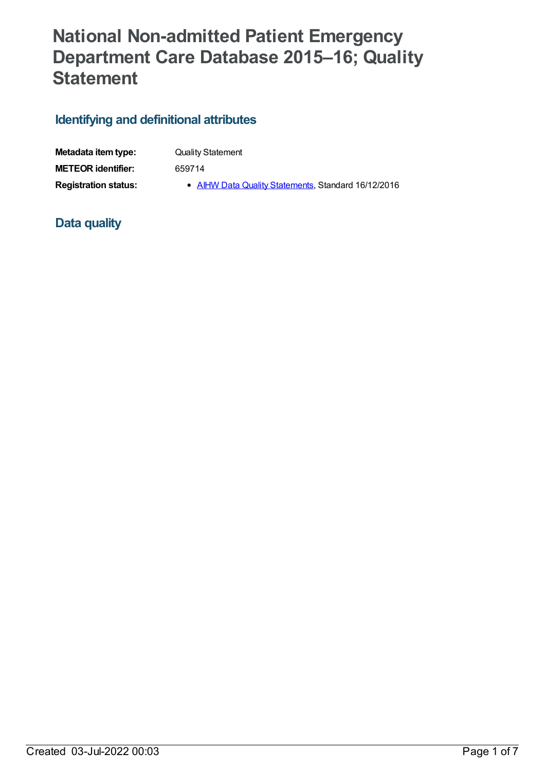# **National Non-admitted Patient Emergency Department Care Database 2015–16; Quality Statement**

## **Identifying and definitional attributes**

| Metadata item type:         | <b>Quality Statement</b>                            |
|-----------------------------|-----------------------------------------------------|
| <b>METEOR</b> identifier:   | 659714                                              |
| <b>Registration status:</b> | • AIHW Data Quality Statements, Standard 16/12/2016 |

## **Data quality**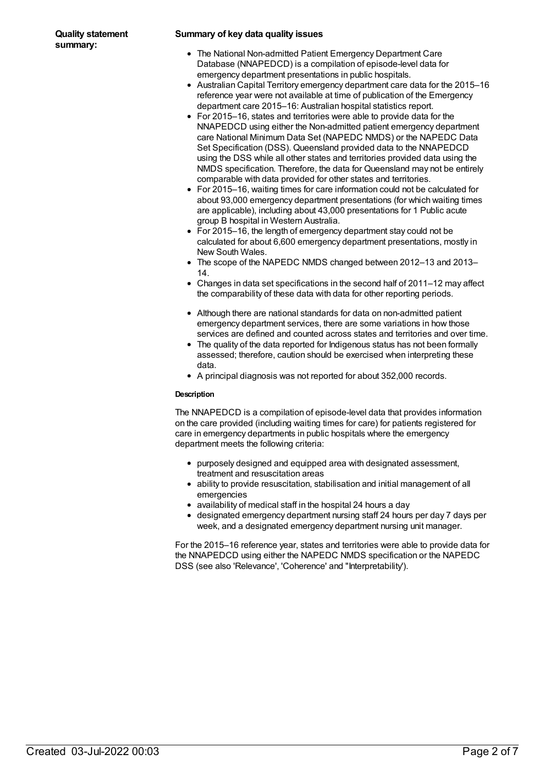#### **Summary of key data quality issues**

- The National Non-admitted Patient Emergency Department Care Database (NNAPEDCD) is a compilation of episode-level data for emergency department presentations in public hospitals.
- Australian Capital Territory emergency department care data for the 2015–16 reference year were not available at time of publication of the Emergency department care 2015–16: Australian hospital statistics report.
- For 2015–16, states and territories were able to provide data for the NNAPEDCD using either the Non-admitted patient emergency department care National Minimum Data Set (NAPEDC NMDS) or the NAPEDC Data Set Specification (DSS). Queensland provided data to the NNAPEDCD using the DSS while all other states and territories provided data using the NMDS specification. Therefore, the data for Queensland may not be entirely comparable with data provided for other states and territories.
- For 2015–16, waiting times for care information could not be calculated for about 93,000 emergency department presentations (for which waiting times are applicable), including about 43,000 presentations for 1 Public acute group B hospital in Western Australia.
- For 2015–16, the length of emergency department stay could not be calculated for about 6,600 emergency department presentations, mostly in New South Wales.
- The scope of the NAPEDC NMDS changed between 2012–13 and 2013– 14.
- Changes in data set specifications in the second half of 2011–12 may affect the comparability of these data with data for other reporting periods.
- Although there are national standards for data on non-admitted patient emergency department services, there are some variations in how those services are defined and counted across states and territories and over time.
- The quality of the data reported for Indigenous status has not been formally assessed; therefore, caution should be exercised when interpreting these data.
- A principal diagnosis was not reported for about 352,000 records.

#### **Description**

The NNAPEDCD is a compilation of episode-level data that provides information on the care provided (including waiting times for care) for patients registered for care in emergency departments in public hospitals where the emergency department meets the following criteria:

- purposely designed and equipped area with designated assessment, treatment and resuscitation areas
- ability to provide resuscitation, stabilisation and initial management of all emergencies
- availability of medical staff in the hospital 24 hours a day
- designated emergency department nursing staff 24 hours per day 7 days per week, and a designated emergency department nursing unit manager.

For the 2015–16 reference year, states and territories were able to provide data for the NNAPEDCD using either the NAPEDC NMDS specification or the NAPEDC DSS (see also 'Relevance', 'Coherence' and "Interpretability').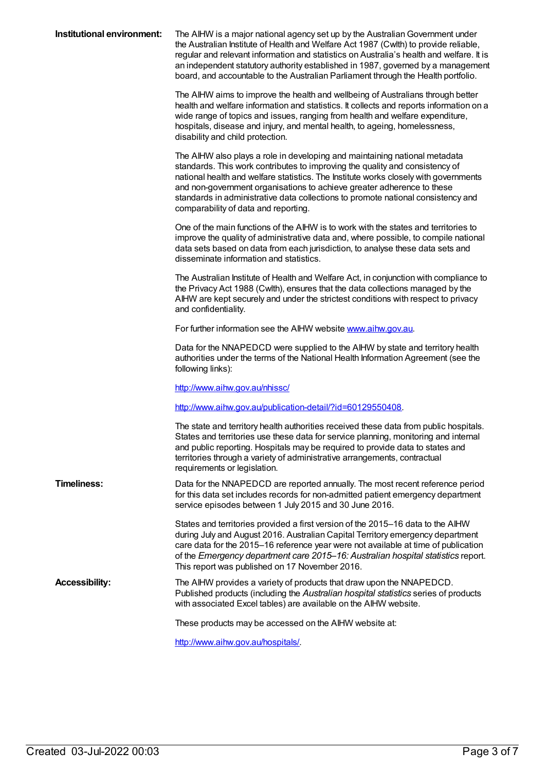| Institutional environment: | The AIHW is a major national agency set up by the Australian Government under<br>the Australian Institute of Health and Welfare Act 1987 (Cwlth) to provide reliable,<br>regular and relevant information and statistics on Australia's health and welfare. It is<br>an independent statutory authority established in 1987, governed by a management<br>board, and accountable to the Australian Parliament through the Health portfolio.               |
|----------------------------|----------------------------------------------------------------------------------------------------------------------------------------------------------------------------------------------------------------------------------------------------------------------------------------------------------------------------------------------------------------------------------------------------------------------------------------------------------|
|                            | The AIHW aims to improve the health and wellbeing of Australians through better<br>health and welfare information and statistics. It collects and reports information on a<br>wide range of topics and issues, ranging from health and welfare expenditure,<br>hospitals, disease and injury, and mental health, to ageing, homelessness,<br>disability and child protection.                                                                            |
|                            | The AIHW also plays a role in developing and maintaining national metadata<br>standards. This work contributes to improving the quality and consistency of<br>national health and welfare statistics. The Institute works closely with governments<br>and non-government organisations to achieve greater adherence to these<br>standards in administrative data collections to promote national consistency and<br>comparability of data and reporting. |
|                            | One of the main functions of the AIHW is to work with the states and territories to<br>improve the quality of administrative data and, where possible, to compile national<br>data sets based on data from each jurisdiction, to analyse these data sets and<br>disseminate information and statistics.                                                                                                                                                  |
|                            | The Australian Institute of Health and Welfare Act, in conjunction with compliance to<br>the Privacy Act 1988 (Cwlth), ensures that the data collections managed by the<br>AIHW are kept securely and under the strictest conditions with respect to privacy<br>and confidentiality.                                                                                                                                                                     |
|                            | For further information see the AIHW website www.aihw.gov.au.                                                                                                                                                                                                                                                                                                                                                                                            |
|                            | Data for the NNAPEDCD were supplied to the AIHW by state and territory health<br>authorities under the terms of the National Health Information Agreement (see the<br>following links):                                                                                                                                                                                                                                                                  |
|                            | http://www.aihw.gov.au/nhissc/                                                                                                                                                                                                                                                                                                                                                                                                                           |
|                            | http://www.aihw.gov.au/publication-detail/?id=60129550408.                                                                                                                                                                                                                                                                                                                                                                                               |
|                            | The state and territory health authorities received these data from public hospitals.<br>States and territories use these data for service planning, monitoring and internal<br>and public reporting. Hospitals may be required to provide data to states and<br>territories through a variety of administrative arrangements, contractual<br>requirements or legislation.                                                                               |
| <b>Timeliness:</b>         | Data for the NNAPEDCD are reported annually. The most recent reference period<br>for this data set includes records for non-admitted patient emergency department<br>service episodes between 1 July 2015 and 30 June 2016.                                                                                                                                                                                                                              |
|                            | States and territories provided a first version of the 2015-16 data to the AIHW<br>during July and August 2016. Australian Capital Territory emergency department<br>care data for the 2015–16 reference year were not available at time of publication<br>of the Emergency department care 2015–16: Australian hospital statistics report.<br>This report was published on 17 November 2016.                                                            |
| <b>Accessibility:</b>      | The AIHW provides a variety of products that draw upon the NNAPEDCD.<br>Published products (including the Australian hospital statistics series of products<br>with associated Excel tables) are available on the AIHW website.                                                                                                                                                                                                                          |
|                            | These products may be accessed on the AIHW website at:                                                                                                                                                                                                                                                                                                                                                                                                   |
|                            | http://www.aihw.gov.au/hospitals/.                                                                                                                                                                                                                                                                                                                                                                                                                       |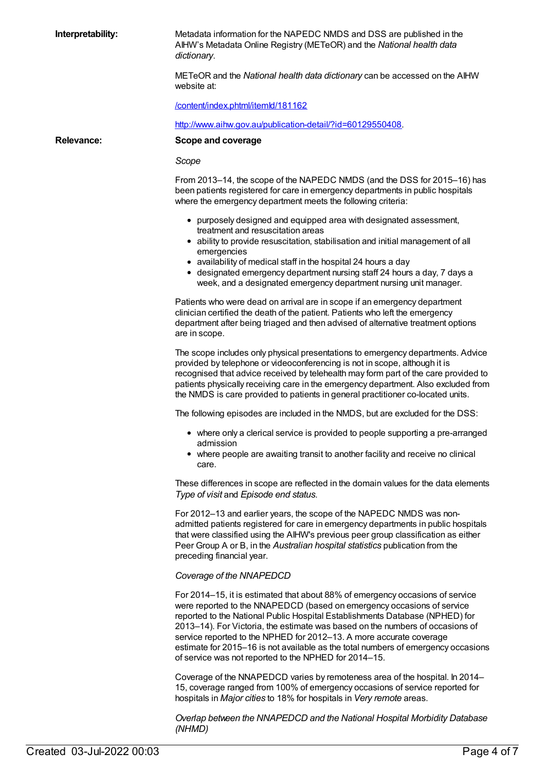**Interpretability:** Metadata information for the NAPEDC NMDS and DSS are published in the AIHW's Metadata Online Registry (METeOR) and the *National health data dictionary*.

> METeOR and the *National health data dictionary* can be accessed on the AIHW website at:

[/content/index.phtml/itemId/181162](file:///content/181162)

<http://www.aihw.gov.au/publication-detail/?id=60129550408>.

**Relevance: Scope and coverage**

*Scope*

From 2013–14, the scope of the NAPEDC NMDS (and the DSS for 2015–16) has been patients registered for care in emergency departments in public hospitals where the emergency department meets the following criteria:

- purposely designed and equipped area with designated assessment, treatment and resuscitation areas
- ability to provide resuscitation, stabilisation and initial management of all emergencies
- availability of medical staff in the hospital 24 hours a day
- designated emergency department nursing staff 24 hours a day, 7 days a week, and a designated emergency department nursing unit manager.

Patients who were dead on arrival are in scope if an emergency department clinician certified the death of the patient. Patients who left the emergency department after being triaged and then advised of alternative treatment options are in scope.

The scope includes only physical presentations to emergency departments. Advice provided by telephone or videoconferencing is not in scope, although it is recognised that advice received by telehealth may form part of the care provided to patients physically receiving care in the emergency department. Also excluded from the NMDS is care provided to patients in general practitioner co-located units.

The following episodes are included in the NMDS, but are excluded for the DSS:

- where only a clerical service is provided to people supporting a pre-arranged admission
- where people are awaiting transit to another facility and receive no clinical care.

These differences in scope are reflected in the domain values for the data elements *Type of visit* and *Episode end status*.

For 2012–13 and earlier years, the scope of the NAPEDC NMDS was nonadmitted patients registered for care in emergency departments in public hospitals that were classified using the AIHW's previous peer group classification as either Peer Group A or B, in the *Australian hospital statistics* publication from the preceding financial year.

#### *Coverage of the NNAPEDCD*

For 2014–15, it is estimated that about 88% of emergency occasions of service were reported to the NNAPEDCD (based on emergency occasions of service reported to the National Public Hospital Establishments Database (NPHED) for 2013–14). For Victoria, the estimate was based on the numbers of occasions of service reported to the NPHED for 2012–13. A more accurate coverage estimate for 2015–16 is not available as the total numbers of emergency occasions of service was not reported to the NPHED for 2014–15.

Coverage of the NNAPEDCD varies by remoteness area of the hospital. In 2014– 15, coverage ranged from 100% of emergency occasions of service reported for hospitals in *Major cities* to 18% for hospitals in *Very remote* areas.

*Overlap between the NNAPEDCD and the National Hospital Morbidity Database (NHMD)*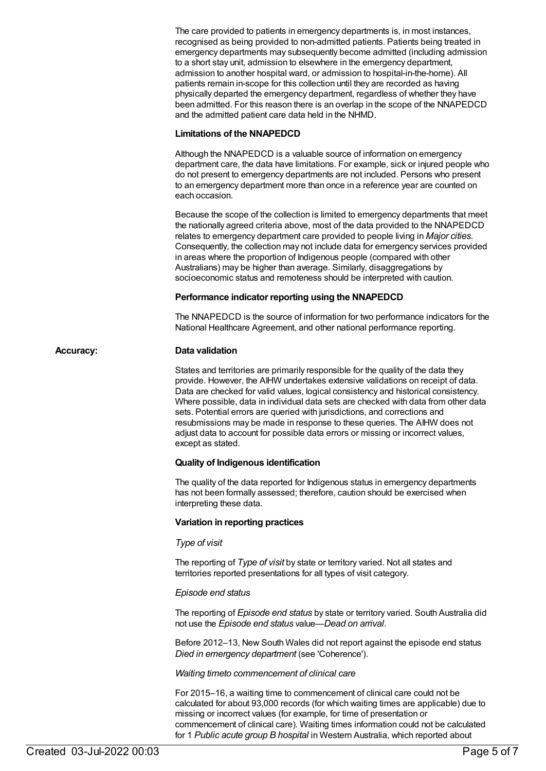The care provided to patients in emergency departments is, in most instances, recognised as being provided to non-admitted patients. Patients being treated in emergency departments may subsequently become admitted (including admission to a short stay unit, admission to elsewhere in the emergency department, admission to another hospital ward, or admission to hospital-in-the-home). All patients remain in-scope for this collection until they are recorded as having physically departed the emergency department, regardless of whether they have been admitted. For this reason there is an overlap in the scope of the NNAPEDCD and the admitted patient care data held in the NHMD.

#### **Limitations of the NNAPEDCD**

Although the NNAPEDCD is a valuable source of information on emergency department care, the data have limitations. For example, sick or injured people who do not present to emergency departments are not included. Persons who present to an emergency department more than once in a reference year are counted on each occasion.

Because the scope of the collection is limited to emergency departments that meet the nationally agreed criteria above, most of the data provided to the NNAPEDCD relates to emergency department care provided to people living in *Major cities*. Consequently, the collection may not include data for emergency services provided in areas where the proportion of Indigenous people (compared with other Australians) may be higher than average. Similarly, disaggregations by socioeconomic status and remoteness should be interpreted with caution.

#### **Performance indicator reporting using the NNAPEDCD**

The NNAPEDCD is the source of information for two performance indicators for the National Healthcare Agreement, and other national performance reporting.

#### **Accuracy: Data validation**

States and territories are primarily responsible for the quality of the data they provide. However, the AIHW undertakes extensive validations on receipt of data. Data are checked for valid values, logical consistency and historical consistency. Where possible, data in individual data sets are checked with data from other data sets. Potential errors are queried with jurisdictions, and corrections and resubmissions may be made in response to these queries. The AIHW does not adjust data to account for possible data errors or missing or incorrect values, except as stated.

#### **Quality of Indigenous identification**

The quality of the data reported for Indigenous status in emergency departments has not been formally assessed; therefore, caution should be exercised when interpreting these data.

#### **Variation in reporting practices**

#### *Type of visit*

The reporting of *Type of visit* by state or territory varied. Not all states and territories reported presentations for all types of visit category.

#### *Episode end status*

The reporting of *Episode end status* by state or territory varied. South Australia did not use the *Episode end status* value—*Dead on arrival*.

Before 2012–13, New South Wales did not report against the episode end status *Died in emergency department* (see 'Coherence').

*Waiting timeto commencement of clinical care*

For 2015–16, a waiting time to commencement of clinical care could not be calculated for about 93,000 records (for which waiting times are applicable) due to missing or incorrect values (for example, for time of presentation or commencement of clinical care). Waiting times information could not be calculated for 1 *Public acute group B hospital* in Western Australia, which reported about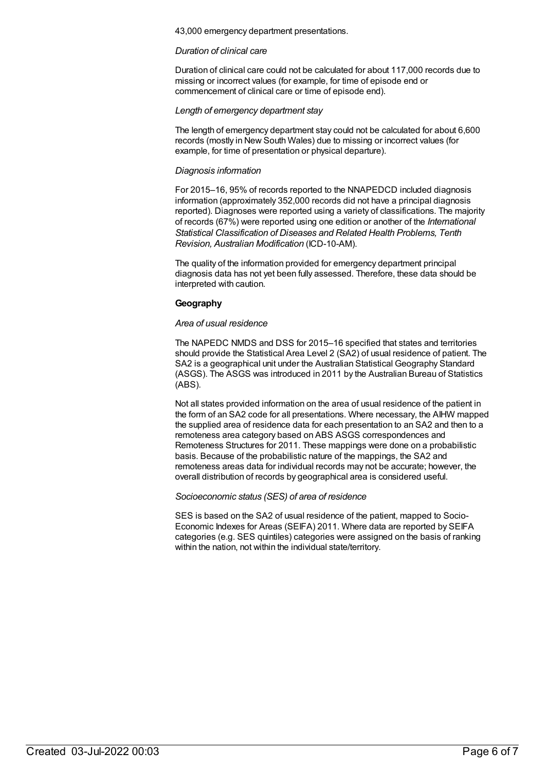43,000 emergency department presentations.

#### *Duration of clinical care*

Duration of clinical care could not be calculated for about 117,000 records due to missing or incorrect values (for example, for time of episode end or commencement of clinical care or time of episode end).

#### *Length of emergency department stay*

The length of emergency department stay could not be calculated for about 6,600 records (mostly in New South Wales) due to missing or incorrect values (for example, for time of presentation or physical departure).

#### *Diagnosis information*

For 2015–16, 95% of records reported to the NNAPEDCD included diagnosis information (approximately 352,000 records did not have a principal diagnosis reported). Diagnoses were reported using a variety of classifications. The majority of records (67%) were reported using one edition or another of the *International Statistical Classification of Diseases and Related Health Problems, Tenth Revision, Australian Modification* (ICD-10-AM).

The quality of the information provided for emergency department principal diagnosis data has not yet been fully assessed. Therefore, these data should be interpreted with caution.

#### **Geography**

#### *Area of usual residence*

The NAPEDC NMDS and DSS for 2015–16 specified that states and territories should provide the Statistical Area Level 2 (SA2) of usual residence of patient. The SA2 is a geographical unit under the Australian Statistical Geography Standard (ASGS). The ASGS was introduced in 2011 by the Australian Bureau of Statistics (ABS).

Not all states provided information on the area of usual residence of the patient in the form of an SA2 code for all presentations. Where necessary, the AIHW mapped the supplied area of residence data for each presentation to an SA2 and then to a remoteness area category based on ABS ASGS correspondences and Remoteness Structures for 2011. These mappings were done on a probabilistic basis. Because of the probabilistic nature of the mappings, the SA2 and remoteness areas data for individual records may not be accurate; however, the overall distribution of records by geographical area is considered useful.

#### *Socioeconomic status (SES) of area of residence*

SES is based on the SA2 of usual residence of the patient, mapped to Socio-Economic Indexes for Areas (SEIFA) 2011. Where data are reported by SEIFA categories (e.g. SES quintiles) categories were assigned on the basis of ranking within the nation, not within the individual state/territory.